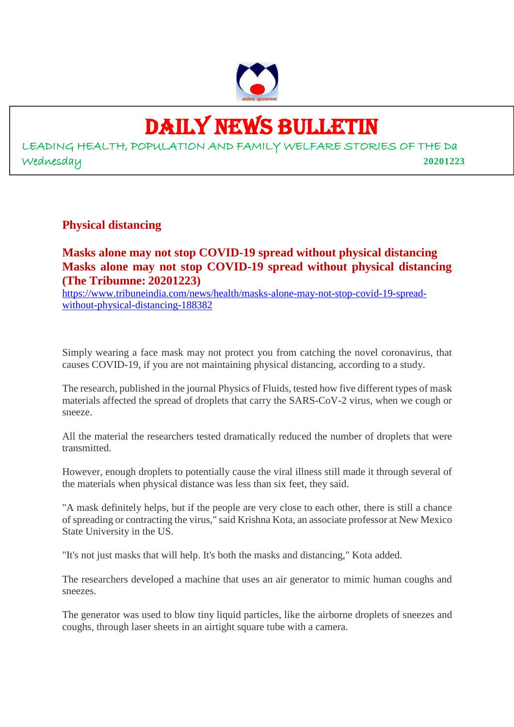

## DAILY NEWS BULLETIN

LEADING HEALTH, POPULATION AND FAMILY WELFARE STORIES OF THE Da Wednesday **20201223**

**Physical distancing**

#### **Masks alone may not stop COVID-19 spread without physical distancing Masks alone may not stop COVID-19 spread without physical distancing (The Tribumne: 20201223)**

https://www.tribuneindia.com/news/health/masks-alone-may-not-stop-covid-19-spreadwithout-physical-distancing-188382

Simply wearing a face mask may not protect you from catching the novel coronavirus, that causes COVID-19, if you are not maintaining physical distancing, according to a study.

The research, published in the journal Physics of Fluids, tested how five different types of mask materials affected the spread of droplets that carry the SARS-CoV-2 virus, when we cough or sneeze.

All the material the researchers tested dramatically reduced the number of droplets that were transmitted.

However, enough droplets to potentially cause the viral illness still made it through several of the materials when physical distance was less than six feet, they said.

"A mask definitely helps, but if the people are very close to each other, there is still a chance of spreading or contracting the virus," said Krishna Kota, an associate professor at New Mexico State University in the US.

"It's not just masks that will help. It's both the masks and distancing," Kota added.

The researchers developed a machine that uses an air generator to mimic human coughs and sneezes.

The generator was used to blow tiny liquid particles, like the airborne droplets of sneezes and coughs, through laser sheets in an airtight square tube with a camera.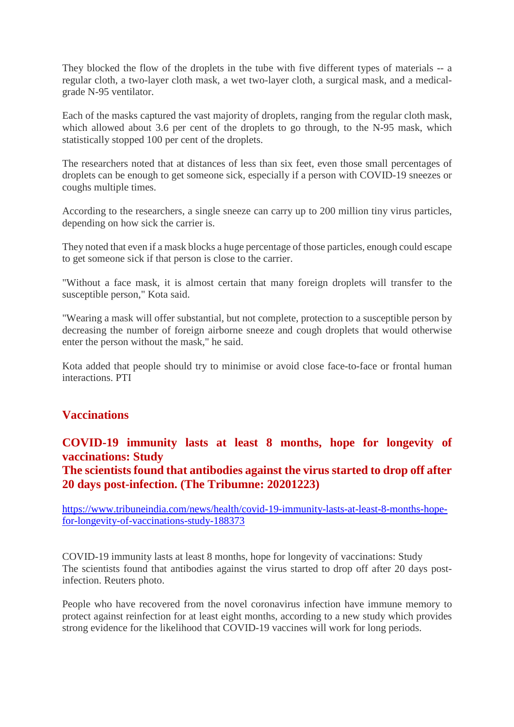They blocked the flow of the droplets in the tube with five different types of materials -- a regular cloth, a two-layer cloth mask, a wet two-layer cloth, a surgical mask, and a medicalgrade N-95 ventilator.

Each of the masks captured the vast majority of droplets, ranging from the regular cloth mask, which allowed about 3.6 per cent of the droplets to go through, to the N-95 mask, which statistically stopped 100 per cent of the droplets.

The researchers noted that at distances of less than six feet, even those small percentages of droplets can be enough to get someone sick, especially if a person with COVID-19 sneezes or coughs multiple times.

According to the researchers, a single sneeze can carry up to 200 million tiny virus particles, depending on how sick the carrier is.

They noted that even if a mask blocks a huge percentage of those particles, enough could escape to get someone sick if that person is close to the carrier.

"Without a face mask, it is almost certain that many foreign droplets will transfer to the susceptible person," Kota said.

"Wearing a mask will offer substantial, but not complete, protection to a susceptible person by decreasing the number of foreign airborne sneeze and cough droplets that would otherwise enter the person without the mask," he said.

Kota added that people should try to minimise or avoid close face-to-face or frontal human interactions. PTI

#### **Vaccinations**

#### **COVID-19 immunity lasts at least 8 months, hope for longevity of vaccinations: Study**

**The scientists found that antibodies against the virus started to drop off after 20 days post-infection. (The Tribumne: 20201223)**

https://www.tribuneindia.com/news/health/covid-19-immunity-lasts-at-least-8-months-hopefor-longevity-of-vaccinations-study-188373

COVID-19 immunity lasts at least 8 months, hope for longevity of vaccinations: Study The scientists found that antibodies against the virus started to drop off after 20 days postinfection. Reuters photo.

People who have recovered from the novel coronavirus infection have immune memory to protect against reinfection for at least eight months, according to a new study which provides strong evidence for the likelihood that COVID-19 vaccines will work for long periods.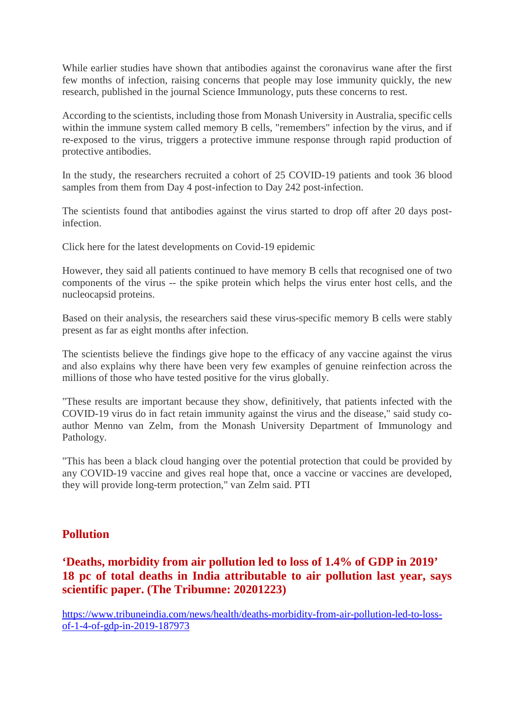While earlier studies have shown that antibodies against the coronavirus wane after the first few months of infection, raising concerns that people may lose immunity quickly, the new research, published in the journal Science Immunology, puts these concerns to rest.

According to the scientists, including those from Monash University in Australia, specific cells within the immune system called memory B cells, "remembers" infection by the virus, and if re-exposed to the virus, triggers a protective immune response through rapid production of protective antibodies.

In the study, the researchers recruited a cohort of 25 COVID-19 patients and took 36 blood samples from them from Day 4 post-infection to Day 242 post-infection.

The scientists found that antibodies against the virus started to drop off after 20 days postinfection.

Click here for the latest developments on Covid-19 epidemic

However, they said all patients continued to have memory B cells that recognised one of two components of the virus -- the spike protein which helps the virus enter host cells, and the nucleocapsid proteins.

Based on their analysis, the researchers said these virus-specific memory B cells were stably present as far as eight months after infection.

The scientists believe the findings give hope to the efficacy of any vaccine against the virus and also explains why there have been very few examples of genuine reinfection across the millions of those who have tested positive for the virus globally.

"These results are important because they show, definitively, that patients infected with the COVID-19 virus do in fact retain immunity against the virus and the disease," said study coauthor Menno van Zelm, from the Monash University Department of Immunology and Pathology.

"This has been a black cloud hanging over the potential protection that could be provided by any COVID-19 vaccine and gives real hope that, once a vaccine or vaccines are developed, they will provide long-term protection," van Zelm said. PTI

#### **Pollution**

#### **'Deaths, morbidity from air pollution led to loss of 1.4% of GDP in 2019' 18 pc of total deaths in India attributable to air pollution last year, says scientific paper. (The Tribumne: 20201223)**

https://www.tribuneindia.com/news/health/deaths-morbidity-from-air-pollution-led-to-lossof-1-4-of-gdp-in-2019-187973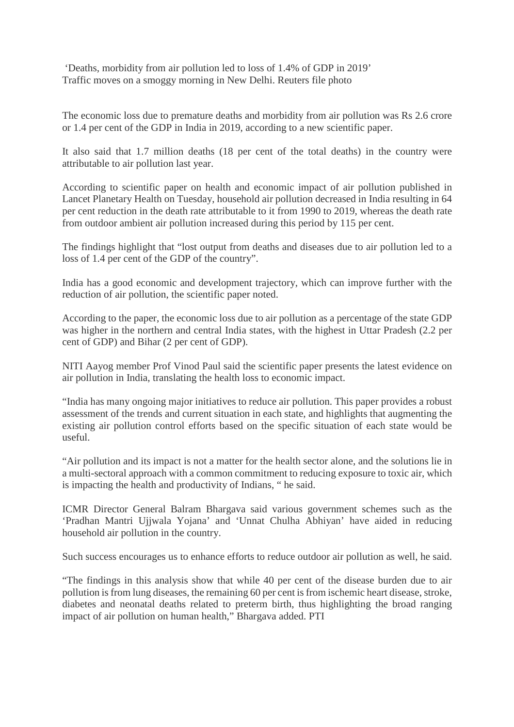'Deaths, morbidity from air pollution led to loss of 1.4% of GDP in 2019' Traffic moves on a smoggy morning in New Delhi. Reuters file photo

The economic loss due to premature deaths and morbidity from air pollution was Rs 2.6 crore or 1.4 per cent of the GDP in India in 2019, according to a new scientific paper.

It also said that 1.7 million deaths (18 per cent of the total deaths) in the country were attributable to air pollution last year.

According to scientific paper on health and economic impact of air pollution published in Lancet Planetary Health on Tuesday, household air pollution decreased in India resulting in 64 per cent reduction in the death rate attributable to it from 1990 to 2019, whereas the death rate from outdoor ambient air pollution increased during this period by 115 per cent.

The findings highlight that "lost output from deaths and diseases due to air pollution led to a loss of 1.4 per cent of the GDP of the country".

India has a good economic and development trajectory, which can improve further with the reduction of air pollution, the scientific paper noted.

According to the paper, the economic loss due to air pollution as a percentage of the state GDP was higher in the northern and central India states, with the highest in Uttar Pradesh (2.2 per cent of GDP) and Bihar (2 per cent of GDP).

NITI Aayog member Prof Vinod Paul said the scientific paper presents the latest evidence on air pollution in India, translating the health loss to economic impact.

"India has many ongoing major initiatives to reduce air pollution. This paper provides a robust assessment of the trends and current situation in each state, and highlights that augmenting the existing air pollution control efforts based on the specific situation of each state would be useful.

"Air pollution and its impact is not a matter for the health sector alone, and the solutions lie in a multi-sectoral approach with a common commitment to reducing exposure to toxic air, which is impacting the health and productivity of Indians, " he said.

ICMR Director General Balram Bhargava said various government schemes such as the 'Pradhan Mantri Ujjwala Yojana' and 'Unnat Chulha Abhiyan' have aided in reducing household air pollution in the country.

Such success encourages us to enhance efforts to reduce outdoor air pollution as well, he said.

"The findings in this analysis show that while 40 per cent of the disease burden due to air pollution is from lung diseases, the remaining 60 per cent is from ischemic heart disease, stroke, diabetes and neonatal deaths related to preterm birth, thus highlighting the broad ranging impact of air pollution on human health," Bhargava added. PTI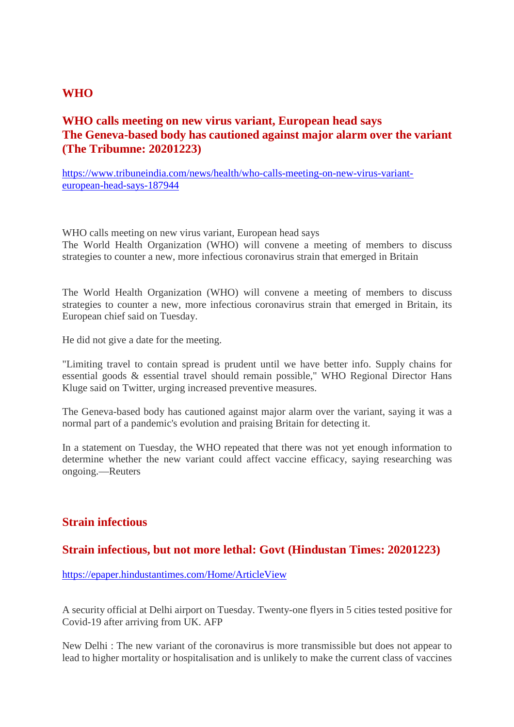#### **WHO**

#### **WHO calls meeting on new virus variant, European head says The Geneva-based body has cautioned against major alarm over the variant (The Tribumne: 20201223)**

https://www.tribuneindia.com/news/health/who-calls-meeting-on-new-virus-varianteuropean-head-says-187944

WHO calls meeting on new virus variant, European head says The World Health Organization (WHO) will convene a meeting of members to discuss strategies to counter a new, more infectious coronavirus strain that emerged in Britain

The World Health Organization (WHO) will convene a meeting of members to discuss strategies to counter a new, more infectious coronavirus strain that emerged in Britain, its European chief said on Tuesday.

He did not give a date for the meeting.

"Limiting travel to contain spread is prudent until we have better info. Supply chains for essential goods & essential travel should remain possible," WHO Regional Director Hans Kluge said on Twitter, urging increased preventive measures.

The Geneva-based body has cautioned against major alarm over the variant, saying it was a normal part of a pandemic's evolution and praising Britain for detecting it.

In a statement on Tuesday, the WHO repeated that there was not yet enough information to determine whether the new variant could affect vaccine efficacy, saying researching was ongoing.—Reuters

#### **Strain infectious**

#### **Strain infectious, but not more lethal: Govt (Hindustan Times: 20201223)**

https://epaper.hindustantimes.com/Home/ArticleView

A security official at Delhi airport on Tuesday. Twenty-one flyers in 5 cities tested positive for Covid-19 after arriving from UK. AFP

New Delhi : The new variant of the coronavirus is more transmissible but does not appear to lead to higher mortality or hospitalisation and is unlikely to make the current class of vaccines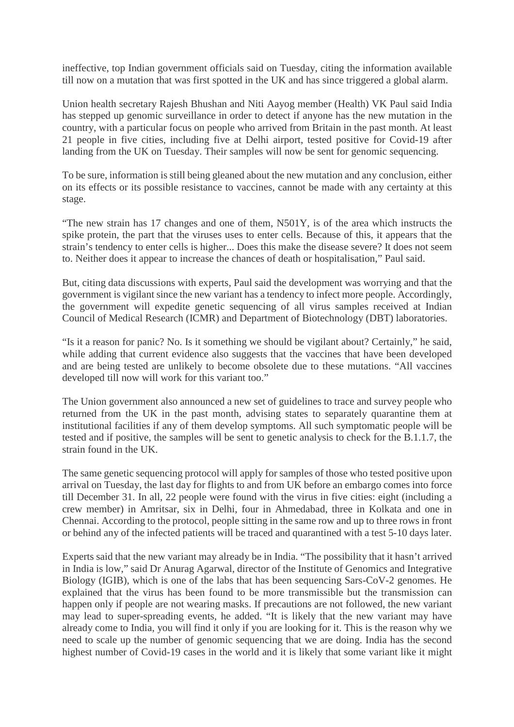ineffective, top Indian government officials said on Tuesday, citing the information available till now on a mutation that was first spotted in the UK and has since triggered a global alarm.

Union health secretary Rajesh Bhushan and Niti Aayog member (Health) VK Paul said India has stepped up genomic surveillance in order to detect if anyone has the new mutation in the country, with a particular focus on people who arrived from Britain in the past month. At least 21 people in five cities, including five at Delhi airport, tested positive for Covid-19 after landing from the UK on Tuesday. Their samples will now be sent for genomic sequencing.

To be sure, information is still being gleaned about the new mutation and any conclusion, either on its effects or its possible resistance to vaccines, cannot be made with any certainty at this stage.

"The new strain has 17 changes and one of them, N501Y, is of the area which instructs the spike protein, the part that the viruses uses to enter cells. Because of this, it appears that the strain's tendency to enter cells is higher... Does this make the disease severe? It does not seem to. Neither does it appear to increase the chances of death or hospitalisation," Paul said.

But, citing data discussions with experts, Paul said the development was worrying and that the government is vigilant since the new variant has a tendency to infect more people. Accordingly, the government will expedite genetic sequencing of all virus samples received at Indian Council of Medical Research (ICMR) and Department of Biotechnology (DBT) laboratories.

"Is it a reason for panic? No. Is it something we should be vigilant about? Certainly," he said, while adding that current evidence also suggests that the vaccines that have been developed and are being tested are unlikely to become obsolete due to these mutations. "All vaccines developed till now will work for this variant too."

The Union government also announced a new set of guidelines to trace and survey people who returned from the UK in the past month, advising states to separately quarantine them at institutional facilities if any of them develop symptoms. All such symptomatic people will be tested and if positive, the samples will be sent to genetic analysis to check for the B.1.1.7, the strain found in the UK.

The same genetic sequencing protocol will apply for samples of those who tested positive upon arrival on Tuesday, the last day for flights to and from UK before an embargo comes into force till December 31. In all, 22 people were found with the virus in five cities: eight (including a crew member) in Amritsar, six in Delhi, four in Ahmedabad, three in Kolkata and one in Chennai. According to the protocol, people sitting in the same row and up to three rows in front or behind any of the infected patients will be traced and quarantined with a test 5-10 days later.

Experts said that the new variant may already be in India. "The possibility that it hasn't arrived in India is low," said Dr Anurag Agarwal, director of the Institute of Genomics and Integrative Biology (IGIB), which is one of the labs that has been sequencing Sars-CoV-2 genomes. He explained that the virus has been found to be more transmissible but the transmission can happen only if people are not wearing masks. If precautions are not followed, the new variant may lead to super-spreading events, he added. "It is likely that the new variant may have already come to India, you will find it only if you are looking for it. This is the reason why we need to scale up the number of genomic sequencing that we are doing. India has the second highest number of Covid-19 cases in the world and it is likely that some variant like it might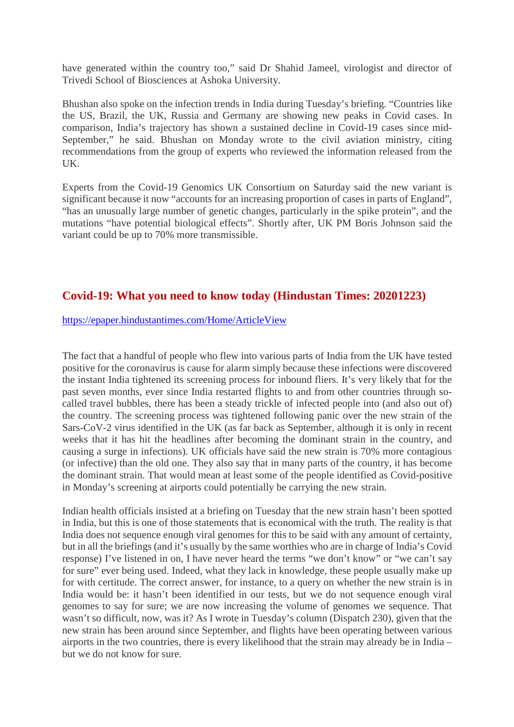have generated within the country too," said Dr Shahid Jameel, virologist and director of Trivedi School of Biosciences at Ashoka University.

Bhushan also spoke on the infection trends in India during Tuesday's briefing. "Countries like the US, Brazil, the UK, Russia and Germany are showing new peaks in Covid cases. In comparison, India's trajectory has shown a sustained decline in Covid-19 cases since mid-September," he said. Bhushan on Monday wrote to the civil aviation ministry, citing recommendations from the group of experts who reviewed the information released from the UK.

Experts from the Covid-19 Genomics UK Consortium on Saturday said the new variant is significant because it now "accounts for an increasing proportion of cases in parts of England", "has an unusually large number of genetic changes, particularly in the spike protein", and the mutations "have potential biological effects". Shortly after, UK PM Boris Johnson said the variant could be up to 70% more transmissible.

#### **Covid-19: What you need to know today (Hindustan Times: 20201223)**

#### https://epaper.hindustantimes.com/Home/ArticleView

The fact that a handful of people who flew into various parts of India from the UK have tested positive for the coronavirus is cause for alarm simply because these infections were discovered the instant India tightened its screening process for inbound fliers. It's very likely that for the past seven months, ever since India restarted flights to and from other countries through socalled travel bubbles, there has been a steady trickle of infected people into (and also out of) the country. The screening process was tightened following panic over the new strain of the Sars-CoV-2 virus identified in the UK (as far back as September, although it is only in recent weeks that it has hit the headlines after becoming the dominant strain in the country, and causing a surge in infections). UK officials have said the new strain is 70% more contagious (or infective) than the old one. They also say that in many parts of the country, it has become the dominant strain. That would mean at least some of the people identified as Covid-positive in Monday's screening at airports could potentially be carrying the new strain.

Indian health officials insisted at a briefing on Tuesday that the new strain hasn't been spotted in India, but this is one of those statements that is economical with the truth. The reality is that India does not sequence enough viral genomes for this to be said with any amount of certainty, but in all the briefings (and it's usually by the same worthies who are in charge of India's Covid response) I've listened in on, I have never heard the terms "we don't know" or "we can't say for sure" ever being used. Indeed, what they lack in knowledge, these people usually make up for with certitude. The correct answer, for instance, to a query on whether the new strain is in India would be: it hasn't been identified in our tests, but we do not sequence enough viral genomes to say for sure; we are now increasing the volume of genomes we sequence. That wasn't so difficult, now, was it? As I wrote in Tuesday's column (Dispatch 230), given that the new strain has been around since September, and flights have been operating between various airports in the two countries, there is every likelihood that the strain may already be in India – but we do not know for sure.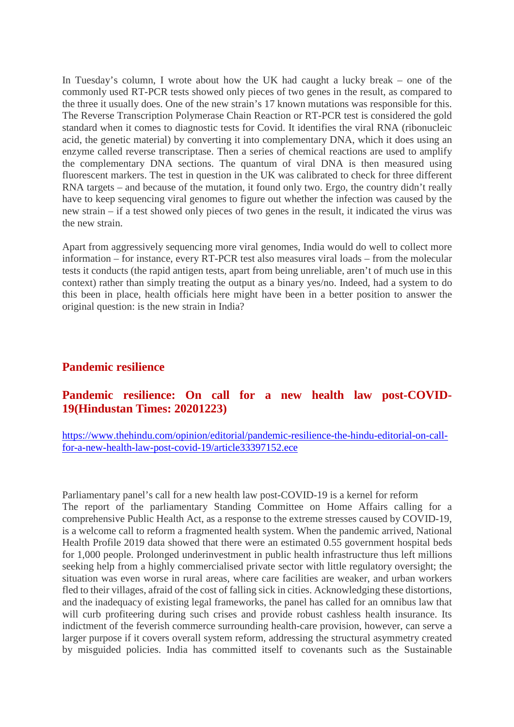In Tuesday's column, I wrote about how the UK had caught a lucky break – one of the commonly used RT-PCR tests showed only pieces of two genes in the result, as compared to the three it usually does. One of the new strain's 17 known mutations was responsible for this. The Reverse Transcription Polymerase Chain Reaction or RT-PCR test is considered the gold standard when it comes to diagnostic tests for Covid. It identifies the viral RNA (ribonucleic acid, the genetic material) by converting it into complementary DNA, which it does using an enzyme called reverse transcriptase. Then a series of chemical reactions are used to amplify the complementary DNA sections. The quantum of viral DNA is then measured using fluorescent markers. The test in question in the UK was calibrated to check for three different RNA targets – and because of the mutation, it found only two. Ergo, the country didn't really have to keep sequencing viral genomes to figure out whether the infection was caused by the new strain – if a test showed only pieces of two genes in the result, it indicated the virus was the new strain.

Apart from aggressively sequencing more viral genomes, India would do well to collect more information – for instance, every RT-PCR test also measures viral loads – from the molecular tests it conducts (the rapid antigen tests, apart from being unreliable, aren't of much use in this context) rather than simply treating the output as a binary yes/no. Indeed, had a system to do this been in place, health officials here might have been in a better position to answer the original question: is the new strain in India?

#### **Pandemic resilience**

#### **Pandemic resilience: On call for a new health law post-COVID-19(Hindustan Times: 20201223)**

https://www.thehindu.com/opinion/editorial/pandemic-resilience-the-hindu-editorial-on-callfor-a-new-health-law-post-covid-19/article33397152.ece

Parliamentary panel's call for a new health law post-COVID-19 is a kernel for reform The report of the parliamentary Standing Committee on Home Affairs calling for a comprehensive Public Health Act, as a response to the extreme stresses caused by COVID-19, is a welcome call to reform a fragmented health system. When the pandemic arrived, National Health Profile 2019 data showed that there were an estimated 0.55 government hospital beds for 1,000 people. Prolonged underinvestment in public health infrastructure thus left millions seeking help from a highly commercialised private sector with little regulatory oversight; the situation was even worse in rural areas, where care facilities are weaker, and urban workers fled to their villages, afraid of the cost of falling sick in cities. Acknowledging these distortions, and the inadequacy of existing legal frameworks, the panel has called for an omnibus law that will curb profiteering during such crises and provide robust cashless health insurance. Its indictment of the feverish commerce surrounding health-care provision, however, can serve a larger purpose if it covers overall system reform, addressing the structural asymmetry created by misguided policies. India has committed itself to covenants such as the Sustainable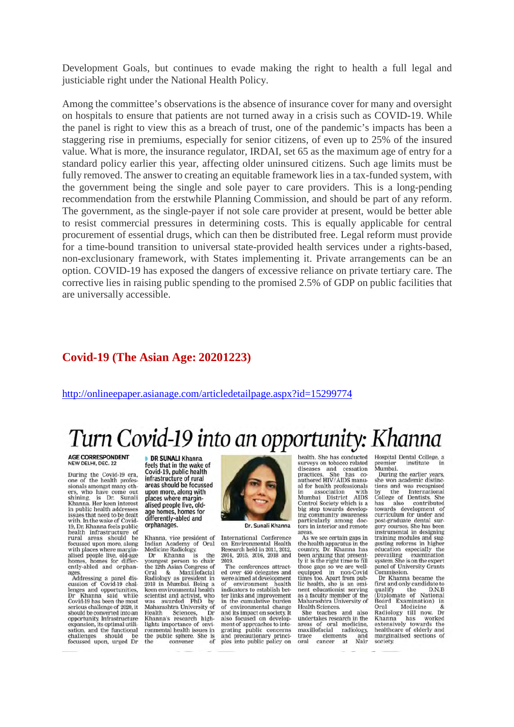Development Goals, but continues to evade making the right to health a full legal and justiciable right under the National Health Policy.

Among the committee's observations is the absence of insurance cover for many and oversight on hospitals to ensure that patients are not turned away in a crisis such as COVID-19. While the panel is right to view this as a breach of trust, one of the pandemic's impacts has been a staggering rise in premiums, especially for senior citizens, of even up to 25% of the insured value. What is more, the insurance regulator, IRDAI, set 65 as the maximum age of entry for a standard policy earlier this year, affecting older uninsured citizens. Such age limits must be fully removed. The answer to creating an equitable framework lies in a tax-funded system, with the government being the single and sole payer to care providers. This is a long-pending recommendation from the erstwhile Planning Commission, and should be part of any reform. The government, as the single-payer if not sole care provider at present, would be better able to resist commercial pressures in determining costs. This is equally applicable for central procurement of essential drugs, which can then be distributed free. Legal reform must provide for a time-bound transition to universal state-provided health services under a rights-based, non-exclusionary framework, with States implementing it. Private arrangements can be an option. COVID-19 has exposed the dangers of excessive reliance on private tertiary care. The corrective lies in raising public spending to the promised 2.5% of GDP on public facilities that are universally accessible.

#### **Covid-19 (The Asian Age: 20201223)**

http://onlineepaper.asianage.com/articledetailpage.aspx?id=15299774

## Turn Covid-19 into an opportunity: Khanna

AGE CORRESPONDENT<br>NEW DELHI, DEC. 22

During the Covid-19 era,<br>one of the health professionals amongst many othsionals amongst many om-<br>ers, who have come out<br>shining, is Dr. Sunali<br>Khanna. Her keen interest<br>in public health addresses issues that need to be dealt with. In the wake of Covid-<br>19, Dr. Khanna feels public health infrastructure of<br>rural areas should be<br>focussed upon more, along with places where margin-<br>alised people live, old-age homes. homes for differently-abled and orphanages

ages.<br>Addressing a panel discussion of Covid-19 challenges and opportunities,<br>Dr Khanna said while<br>Covid-19 has been the most serious challenge of 2020, it should be converted into an<br>opportunity. Infrastructure expansion, its optimal utili-<br>sation, and the functional should challenges focussed upon, urged Dr

**DR SUNALI Khanna** feels that in the wake of Covid-19, public health infrastructure of rural areas should be focussed upon more, along with places where marginalised people live, oldage homes, homes for differently-abled and orphanages.

Khanna, vice president of Indian Academy of<br>Medicine Radiology<br>Dr Khanna is Indian Academy of Oral

Dr Khanna is the<br>youngest person to chair bourgest person to chair<br>the 12th Asian Congress of<br>Oral & Maxillofacial<br>Radiology as president in<br>2018 in Mumbai. Being a keen environmental health scientist and activist, who<br>was awarded PhD by<br>Maharashtra University of Health Sciences, Dr<br>Khanna's research highlights importance of environmental health issues in the public sphere. She is convener the of



Dr. Sunali Khanna

International Conference on Environmental Health Research held in 2011, 2012,<br>2014, 2015, 2016, 2018 and 2019

The conferences attracted over 450 delegates and were aimed at development<br>of environment health<br>indicators to establish better links and improvement<br>in the cumulative burden<br>of environmental change and its impact on society. It<br>also focused on development of approaches to integrating public concerns and precautionary principles into public policy on health. She has conducted surveys on tobacco related<br>diseases and cessation practices. She has co-<br>authored HIV/AIDS manual for health professionals in association<br>Mumbai District with<br>AIDS Control Society which is a<br>big step towards develop-

ing community awareness particularly among doc-<br>tors in interior and remote areas. As we see certain gaps in

the health apparatus in the country, Dr. Khanna has<br>been arguing that presently it is the right time to fill ry it is the right time to full<br>those gaps so we are well-<br>equipped in non-Covid<br>times too. Apart from pub-<br>lic health, she is an emi-<br>nent educationist serving as a faculty member of the<br>Maharashtra University of Health Sciences.

Heath Sciences.<br>She teaches and also<br>undertakes research in the undertakes research in the<br>areas of oral medicine,<br>maxillofacial radiology, elements and trace cancer nts and<br>at Nair oral

Hospital Dental College, a<br>premier institute in premier<br>Mumbai. institute

During the earlier years, buring the earlier years,<br>she won academic distinc-<br>tions and was recognised by the International<br>College of Dentists, She has also contributed<br>towards development of<br>curriculum for under and post-graduate dental sur-<br>gery courses. She has been instrumental in designing training modules and sug-<br>gesting reforms in higher education especially the<br>prevailing examination<br>system. She is on the expert panel of University Grants<br>Commission.

Dr Khanna became the Dr Knanna became the<br>first and only candidate to<br>qualify the D.N.B<br>(Diplomate of National<br>Board Examination) in<br>Oral Medicine & Oral Medicine &<br>Radiology till now. Dr<br>Khanna has worked<br>extensively towards the<br>healthcare of elderly and<br>marginalised sections of society.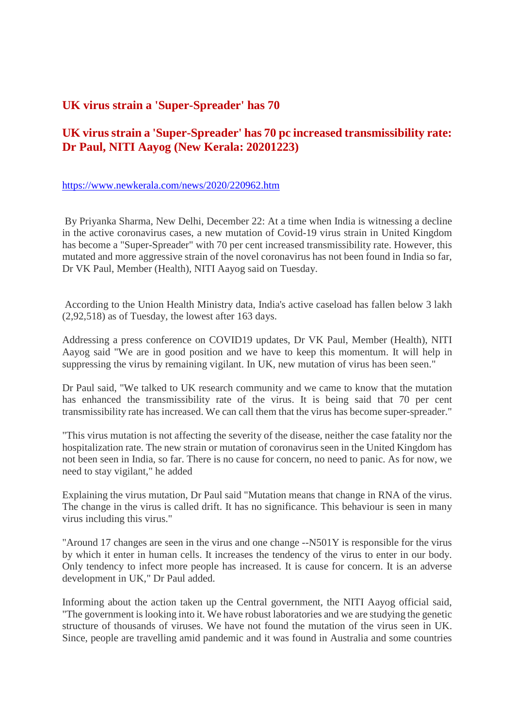#### **UK virus strain a 'Super-Spreader' has 70**

#### **UK virus strain a 'Super-Spreader' has 70 pc increased transmissibility rate: Dr Paul, NITI Aayog (New Kerala: 20201223)**

https://www.newkerala.com/news/2020/220962.htm

By Priyanka Sharma, New Delhi, December 22: At a time when India is witnessing a decline in the active coronavirus cases, a new mutation of Covid-19 virus strain in United Kingdom has become a "Super-Spreader" with 70 per cent increased transmissibility rate. However, this mutated and more aggressive strain of the novel coronavirus has not been found in India so far, Dr VK Paul, Member (Health), NITI Aayog said on Tuesday.

According to the Union Health Ministry data, India's active caseload has fallen below 3 lakh (2,92,518) as of Tuesday, the lowest after 163 days.

Addressing a press conference on COVID19 updates, Dr VK Paul, Member (Health), NITI Aayog said "We are in good position and we have to keep this momentum. It will help in suppressing the virus by remaining vigilant. In UK, new mutation of virus has been seen."

Dr Paul said, "We talked to UK research community and we came to know that the mutation has enhanced the transmissibility rate of the virus. It is being said that 70 per cent transmissibility rate has increased. We can call them that the virus has become super-spreader."

"This virus mutation is not affecting the severity of the disease, neither the case fatality nor the hospitalization rate. The new strain or mutation of coronavirus seen in the United Kingdom has not been seen in India, so far. There is no cause for concern, no need to panic. As for now, we need to stay vigilant," he added

Explaining the virus mutation, Dr Paul said "Mutation means that change in RNA of the virus. The change in the virus is called drift. It has no significance. This behaviour is seen in many virus including this virus."

"Around 17 changes are seen in the virus and one change --N501Y is responsible for the virus by which it enter in human cells. It increases the tendency of the virus to enter in our body. Only tendency to infect more people has increased. It is cause for concern. It is an adverse development in UK," Dr Paul added.

Informing about the action taken up the Central government, the NITI Aayog official said, "The government is looking into it. We have robust laboratories and we are studying the genetic structure of thousands of viruses. We have not found the mutation of the virus seen in UK. Since, people are travelling amid pandemic and it was found in Australia and some countries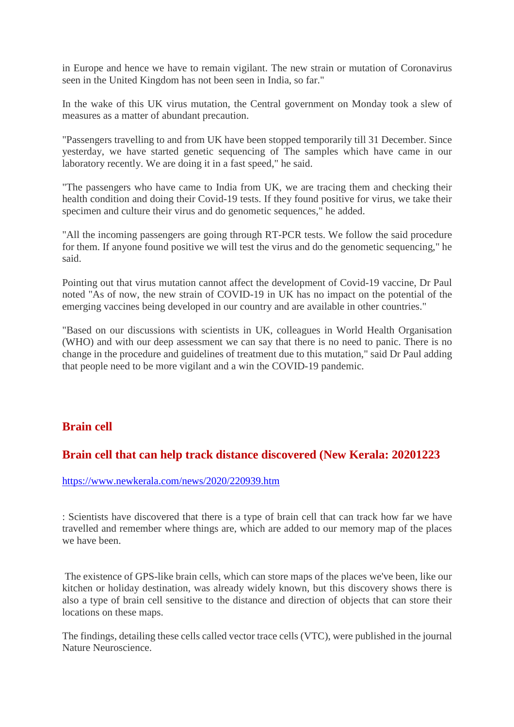in Europe and hence we have to remain vigilant. The new strain or mutation of Coronavirus seen in the United Kingdom has not been seen in India, so far."

In the wake of this UK virus mutation, the Central government on Monday took a slew of measures as a matter of abundant precaution.

"Passengers travelling to and from UK have been stopped temporarily till 31 December. Since yesterday, we have started genetic sequencing of The samples which have came in our laboratory recently. We are doing it in a fast speed," he said.

"The passengers who have came to India from UK, we are tracing them and checking their health condition and doing their Covid-19 tests. If they found positive for virus, we take their specimen and culture their virus and do genometic sequences," he added.

"All the incoming passengers are going through RT-PCR tests. We follow the said procedure for them. If anyone found positive we will test the virus and do the genometic sequencing," he said.

Pointing out that virus mutation cannot affect the development of Covid-19 vaccine, Dr Paul noted "As of now, the new strain of COVID-19 in UK has no impact on the potential of the emerging vaccines being developed in our country and are available in other countries."

"Based on our discussions with scientists in UK, colleagues in World Health Organisation (WHO) and with our deep assessment we can say that there is no need to panic. There is no change in the procedure and guidelines of treatment due to this mutation," said Dr Paul adding that people need to be more vigilant and a win the COVID-19 pandemic.

#### **Brain cell**

#### **Brain cell that can help track distance discovered (New Kerala: 20201223**

#### https://www.newkerala.com/news/2020/220939.htm

: Scientists have discovered that there is a type of brain cell that can track how far we have travelled and remember where things are, which are added to our memory map of the places we have been.

The existence of GPS-like brain cells, which can store maps of the places we've been, like our kitchen or holiday destination, was already widely known, but this discovery shows there is also a type of brain cell sensitive to the distance and direction of objects that can store their locations on these maps.

The findings, detailing these cells called vector trace cells (VTC), were published in the journal Nature Neuroscience.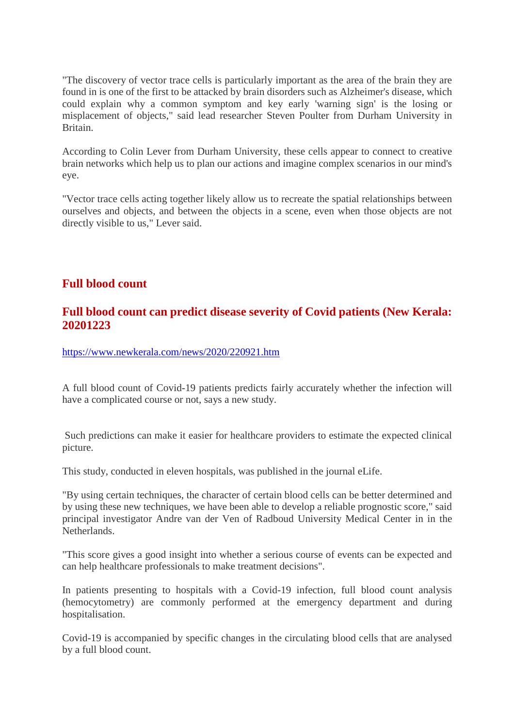"The discovery of vector trace cells is particularly important as the area of the brain they are found in is one of the first to be attacked by brain disorders such as Alzheimer's disease, which could explain why a common symptom and key early 'warning sign' is the losing or misplacement of objects," said lead researcher Steven Poulter from Durham University in Britain.

According to Colin Lever from Durham University, these cells appear to connect to creative brain networks which help us to plan our actions and imagine complex scenarios in our mind's eye.

"Vector trace cells acting together likely allow us to recreate the spatial relationships between ourselves and objects, and between the objects in a scene, even when those objects are not directly visible to us," Lever said.

#### **Full blood count**

#### **Full blood count can predict disease severity of Covid patients (New Kerala: 20201223**

https://www.newkerala.com/news/2020/220921.htm

A full blood count of Covid-19 patients predicts fairly accurately whether the infection will have a complicated course or not, says a new study.

Such predictions can make it easier for healthcare providers to estimate the expected clinical picture.

This study, conducted in eleven hospitals, was published in the journal eLife.

"By using certain techniques, the character of certain blood cells can be better determined and by using these new techniques, we have been able to develop a reliable prognostic score," said principal investigator Andre van der Ven of Radboud University Medical Center in in the Netherlands.

"This score gives a good insight into whether a serious course of events can be expected and can help healthcare professionals to make treatment decisions".

In patients presenting to hospitals with a Covid-19 infection, full blood count analysis (hemocytometry) are commonly performed at the emergency department and during hospitalisation.

Covid-19 is accompanied by specific changes in the circulating blood cells that are analysed by a full blood count.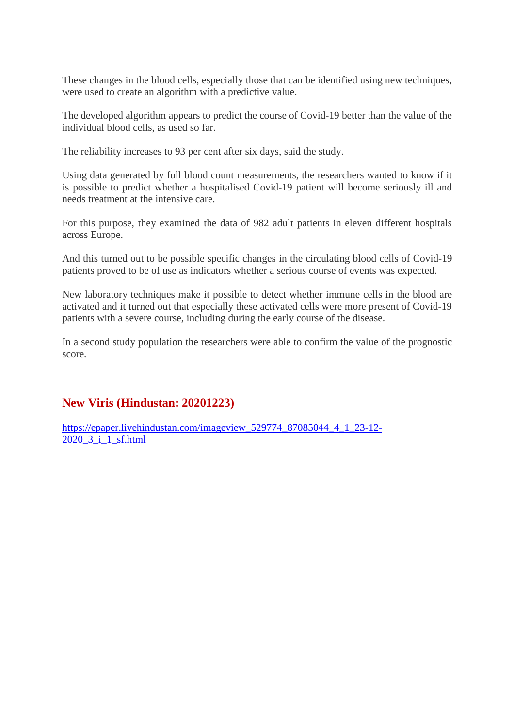These changes in the blood cells, especially those that can be identified using new techniques, were used to create an algorithm with a predictive value.

The developed algorithm appears to predict the course of Covid-19 better than the value of the individual blood cells, as used so far.

The reliability increases to 93 per cent after six days, said the study.

Using data generated by full blood count measurements, the researchers wanted to know if it is possible to predict whether a hospitalised Covid-19 patient will become seriously ill and needs treatment at the intensive care.

For this purpose, they examined the data of 982 adult patients in eleven different hospitals across Europe.

And this turned out to be possible specific changes in the circulating blood cells of Covid-19 patients proved to be of use as indicators whether a serious course of events was expected.

New laboratory techniques make it possible to detect whether immune cells in the blood are activated and it turned out that especially these activated cells were more present of Covid-19 patients with a severe course, including during the early course of the disease.

In a second study population the researchers were able to confirm the value of the prognostic score.

#### **New Viris (Hindustan: 20201223)**

https://epaper.livehindustan.com/imageview\_529774\_87085044\_4\_1\_23-12- 2020\_3\_i\_1\_sf.html